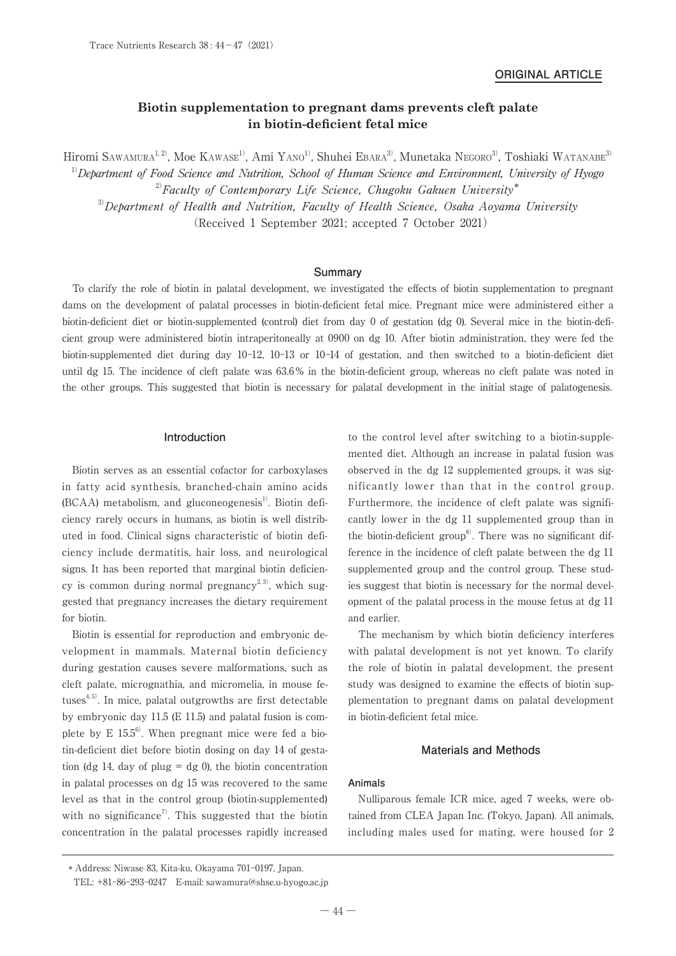# **Biotin supplementation to pregnant dams prevents cleft palate in biotin-deficient fetal mice**

Hiromi Sawamura<sup>1, 2)</sup>, Moe Kawase<sup>1)</sup>, Ami Yano<sup>1)</sup>, Shuhei Ebara<sup>3)</sup>, Munetaka Negoro<sup>3)</sup>, Toshiaki Watanabe<sup>3)</sup>  $1)$ Department of Food Science and Nutrition, School of Human Science and Environment, University of Hyogo  $^{2)}$ Faculty of Contemporary Life Science, Chugoku Gakuen University\*  $3$  Department of Health and Nutrition, Faculty of Health Science, Osaka Aoyama University (Received 1 September 2021; accepted 7 October 2021)

## **Summary**

To clarify the role of biotin in palatal development, we investigated the effects of biotin supplementation to pregnant dams on the development of palatal processes in biotin-deficient fetal mice. Pregnant mice were administered either a biotin-deficient diet or biotin-supplemented (control) diet from day 0 of gestation (dg 0). Several mice in the biotin-deficient group were administered biotin intraperitoneally at 0900 on dg 10. After biotin administration, they were fed the biotin-supplemented diet during day 10-12, 10-13 or 10-14 of gestation, and then switched to a biotin-deficient diet until dg 15. The incidence of cleft palate was 63.6 % in the biotin-deficient group, whereas no cleft palate was noted in the other groups. This suggested that biotin is necessary for palatal development in the initial stage of palatogenesis.

#### **Introduction**

Biotin serves as an essential cofactor for carboxylases in fatty acid synthesis, branched-chain amino acids  $(BCAA)$  metabolism, and gluconeogenesis<sup>1)</sup>. Biotin deficiency rarely occurs in humans, as biotin is well distributed in food. Clinical signs characteristic of biotin deficiency include dermatitis, hair loss, and neurological signs. It has been reported that marginal biotin deficiency is common during normal pregnancy<sup>2,3)</sup>, which suggested that pregnancy increases the dietary requirement for biotin.

Biotin is essential for reproduction and embryonic development in mammals. Maternal biotin deficiency during gestation causes severe malformations, such as cleft palate, micrognathia, and micromelia, in mouse fetuses $4.5$ . In mice, palatal outgrowths are first detectable by embryonic day 11.5 (E 11.5) and palatal fusion is complete by  $E$  15.5<sup>6)</sup>. When pregnant mice were fed a biotin-deficient diet before biotin dosing on day 14 of gestation (dg 14, day of plug = dg 0), the biotin concentration in palatal processes on dg 15 was recovered to the same level as that in the control group (biotin-supplemented) with no significance<sup>7)</sup>. This suggested that the biotin concentration in the palatal processes rapidly increased

to the control level after switching to a biotin-supplemented diet. Although an increase in palatal fusion was observed in the dg 12 supplemented groups, it was significantly lower than that in the control group. Furthermore, the incidence of cleft palate was significantly lower in the dg 11 supplemented group than in the biotin-deficient group<sup>8</sup>. There was no significant difference in the incidence of cleft palate between the dg 11 supplemented group and the control group. These studies suggest that biotin is necessary for the normal development of the palatal process in the mouse fetus at dg 11 and earlier.

The mechanism by which biotin deficiency interferes with palatal development is not yet known. To clarify the role of biotin in palatal development, the present study was designed to examine the effects of biotin supplementation to pregnant dams on palatal development in biotin-deficient fetal mice.

# **Materials and Methods**

## **Animals**

Nulliparous female ICR mice, aged 7 weeks, were obtained from CLEA Japan Inc. (Tokyo, Japan). All animals, including males used for mating, were housed for 2

 <sup>\*</sup> Address: Niwase 83, Kita-ku, Okayama 701-0197, Japan.

TEL: +81-86-293-0247 E-mail: sawamura@shse.u-hyogo.ac.jp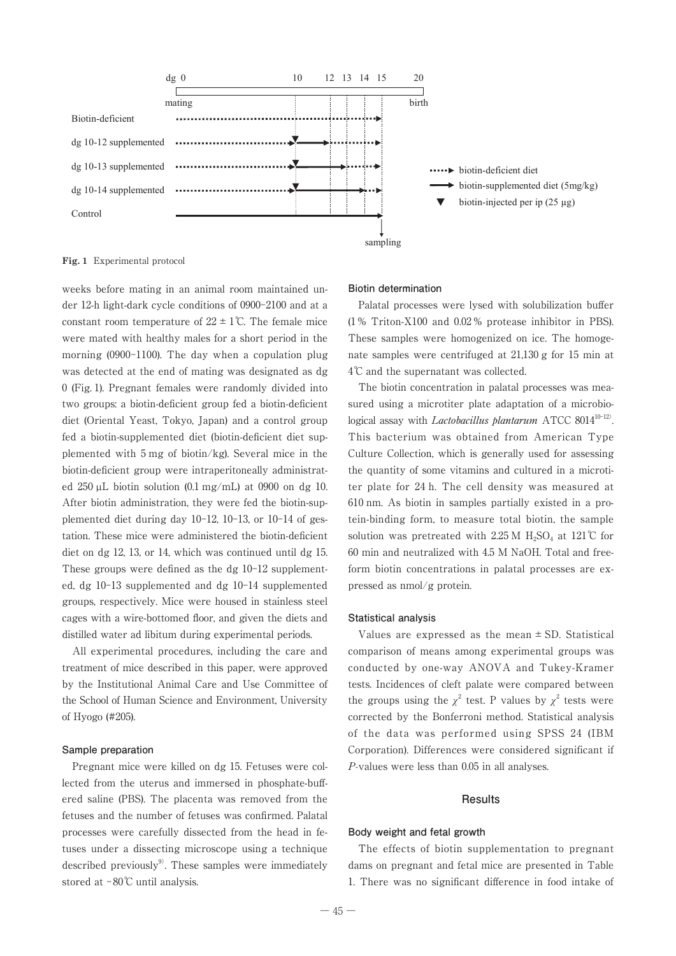

**Fig. 1** Experimental protocol

weeks before mating in an animal room maintained under 12-h light-dark cycle conditions of 0900-2100 and at a constant room temperature of  $22 \pm 1^{\circ}$ . The female mice were mated with healthy males for a short period in the morning (0900-1100). The day when a copulation plug was detected at the end of mating was designated as dg 0 (Fig. 1). Pregnant females were randomly divided into two groups: a biotin-deficient group fed a biotin-deficient diet (Oriental Yeast, Tokyo, Japan) and a control group fed a biotin-supplemented diet (biotin-deficient diet supplemented with 5 mg of biotin/kg). Several mice in the biotin-deficient group were intraperitoneally administrated  $250 \mu L$  biotin solution (0.1 mg/mL) at 0900 on dg 10. After biotin administration, they were fed the biotin-supplemented diet during day 10-12, 10-13, or 10-14 of gestation. These mice were administered the biotin-deficient diet on dg 12, 13, or 14, which was continued until dg 15. These groups were defined as the dg 10-12 supplemented, dg 10-13 supplemented and dg 10-14 supplemented groups, respectively. Mice were housed in stainless steel cages with a wire-bottomed floor, and given the diets and distilled water ad libitum during experimental periods.

All experimental procedures, including the care and treatment of mice described in this paper, were approved by the Institutional Animal Care and Use Committee of the School of Human Science and Environment, University of Hyogo (#205).

### **Sample preparation**

Pregnant mice were killed on dg 15. Fetuses were collected from the uterus and immersed in phosphate-buffered saline (PBS). The placenta was removed from the fetuses and the number of fetuses was confirmed. Palatal processes were carefully dissected from the head in fetuses under a dissecting microscope using a technique described previously $9$ . These samples were immediately stored at -80℃ until analysis.

#### **Biotin determination**

Palatal processes were lysed with solubilization buffer (1 % Triton-X100 and 0.02 % protease inhibitor in PBS). These samples were homogenized on ice. The homogenate samples were centrifuged at 21,130 g for 15 min at 4℃ and the supernatant was collected.

The biotin concentration in palatal processes was measured using a microtiter plate adaptation of a microbiological assay with *Lactobacillus plantarum* ATCC 8014<sup>10-12</sup>. This bacterium was obtained from American Type Culture Collection, which is generally used for assessing the quantity of some vitamins and cultured in a microtiter plate for 24 h. The cell density was measured at 610 nm. As biotin in samples partially existed in a protein-binding form, to measure total biotin, the sample solution was pretreated with 2.25 M H<sub>2</sub>SO<sub>4</sub> at 121°C for 60 min and neutralized with 4.5 M NaOH. Total and freeform biotin concentrations in palatal processes are expressed as nmol/g protein.

#### **Statistical analysis**

Values are expressed as the mean  $\pm$  SD. Statistical comparison of means among experimental groups was conducted by one-way ANOVA and Tukey-Kramer tests. Incidences of cleft palate were compared between the groups using the  $\chi^2$  test. P values by  $\chi^2$  tests were corrected by the Bonferroni method. Statistical analysis of the data was performed using SPSS 24 (IBM Corporation). Differences were considered significant if P-values were less than 0.05 in all analyses.

## **Results**

# **Body weight and fetal growth**

The effects of biotin supplementation to pregnant dams on pregnant and fetal mice are presented in Table 1. There was no significant difference in food intake of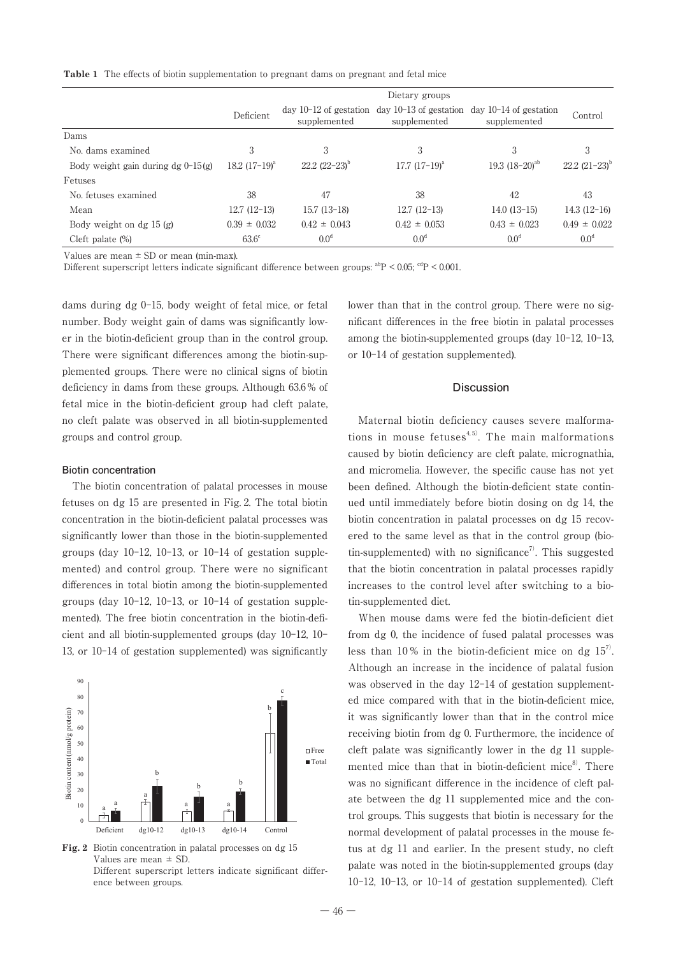**Table 1** The effects of biotin supplementation to pregnant dams on pregnant and fetal mice

|                                      | Dietary groups   |                                          |                                          |                                          |                      |
|--------------------------------------|------------------|------------------------------------------|------------------------------------------|------------------------------------------|----------------------|
|                                      | Deficient        | day $10-12$ of gestation<br>supplemented | day $10-13$ of gestation<br>supplemented | $day 10-14$ of gestation<br>supplemented | Control              |
| Dams                                 |                  |                                          |                                          |                                          |                      |
| No. dams examined                    | 3                | 3                                        | 3                                        | 3                                        | 3                    |
| Body weight gain during dg $0-15(g)$ | 18.2 $(17-19)^a$ | $22.2$ $(22-23)^{b}$                     | $17.7~(17-19)^{a}$                       | 19.3 $(18-20)^{ab}$                      | $22.2$ $(21-23)^{b}$ |
| Fetuses                              |                  |                                          |                                          |                                          |                      |
| No. fetuses examined                 | 38               | 47                                       | 38                                       | 42                                       | 43                   |
| Mean                                 | $12.7(12-13)$    | $15.7(13-18)$                            | $12.7(12-13)$                            | $14.0(13-15)$                            | $14.3(12-16)$        |
| Body weight on dg $15(g)$            | $0.39 \pm 0.032$ | $0.42 \pm 0.043$                         | $0.42 \pm 0.053$                         | $0.43 \pm 0.023$                         | $0.49 \pm 0.022$     |
| Cleft palate $(\%)$                  | $63.6^\circ$     | 0.0 <sup>d</sup>                         | 0.0 <sup>d</sup>                         | 0.0 <sup>d</sup>                         | 0.0 <sup>d</sup>     |

Values are mean  $\pm$  SD or mean (min-max).

Different superscript letters indicate significant difference between groups:  $a^{ab}P < 0.05$ ;  $a^{cd}P < 0.001$ .

dams during dg 0-15, body weight of fetal mice, or fetal number. Body weight gain of dams was significantly lower in the biotin-deficient group than in the control group. There were significant differences among the biotin-supplemented groups. There were no clinical signs of biotin deficiency in dams from these groups. Although 63.6 % of fetal mice in the biotin-deficient group had cleft palate, no cleft palate was observed in all biotin-supplemented groups and control group.

## **Biotin concentration**

The biotin concentration of palatal processes in mouse fetuses on dg 15 are presented in Fig. 2. The total biotin concentration in the biotin-deficient palatal processes was significantly lower than those in the biotin-supplemented groups (day 10-12, 10-13, or 10-14 of gestation supplemented) and control group. There were no significant differences in total biotin among the biotin-supplemented groups (day 10-12, 10-13, or 10-14 of gestation supplemented). The free biotin concentration in the biotin-deficient and all biotin-supplemented groups (day 10-12, 10- 13, or 10-14 of gestation supplemented) was significantly



**Fig. 2** Biotin concentration in palatal processes on dg 15 Values are mean ± SD. Different superscript letters indicate significant difference between groups.

lower than that in the control group. There were no significant differences in the free biotin in palatal processes among the biotin-supplemented groups (day 10-12, 10-13, or 10-14 of gestation supplemented).

#### **Discussion**

Maternal biotin deficiency causes severe malformations in mouse fetuses $4,5$ . The main malformations caused by biotin deficiency are cleft palate, micrognathia, and micromelia. However, the specific cause has not yet been defined. Although the biotin-deficient state continued until immediately before biotin dosing on dg 14, the biotin concentration in palatal processes on dg 15 recovered to the same level as that in the control group (biotin-supplemented) with no significance<sup>7)</sup>. This suggested that the biotin concentration in palatal processes rapidly increases to the control level after switching to a biotin-supplemented diet.

When mouse dams were fed the biotin-deficient diet from dg 0, the incidence of fused palatal processes was less than 10% in the biotin-deficient mice on dg  $15<sup>7</sup>$ . Although an increase in the incidence of palatal fusion was observed in the day 12-14 of gestation supplemented mice compared with that in the biotin-deficient mice, it was significantly lower than that in the control mice receiving biotin from dg 0. Furthermore, the incidence of cleft palate was significantly lower in the dg 11 supplemented mice than that in biotin-deficient mice $\delta$ . There was no significant difference in the incidence of cleft palate between the dg 11 supplemented mice and the control groups. This suggests that biotin is necessary for the normal development of palatal processes in the mouse fetus at dg 11 and earlier. In the present study, no cleft palate was noted in the biotin-supplemented groups (day 10-12, 10-13, or 10-14 of gestation supplemented). Cleft